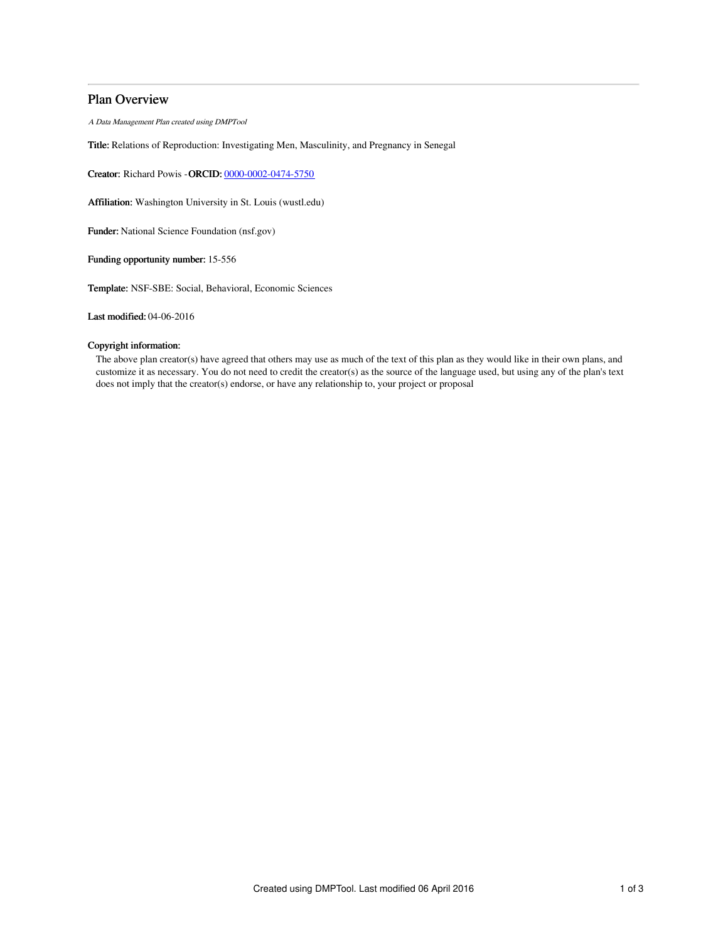# Plan Overview

A Data Management Plan created using DMPTool

Title: Relations of Reproduction: Investigating Men, Masculinity, and Pregnancy in Senegal

Creator: Richard Powis -ORCID: [0000-0002-0474-5750](https://orcid.org/0000-0002-0474-5750)

Affiliation: Washington University in St. Louis (wustl.edu)

Funder: National Science Foundation (nsf.gov)

Funding opportunity number: 15-556

Template: NSF-SBE: Social, Behavioral, Economic Sciences

Last modified: 04-06-2016

## Copyright information:

The above plan creator(s) have agreed that others may use as much of the text of this plan as they would like in their own plans, and customize it as necessary. You do not need to credit the creator(s) as the source of the language used, but using any of the plan's text does not imply that the creator(s) endorse, or have any relationship to, your project or proposal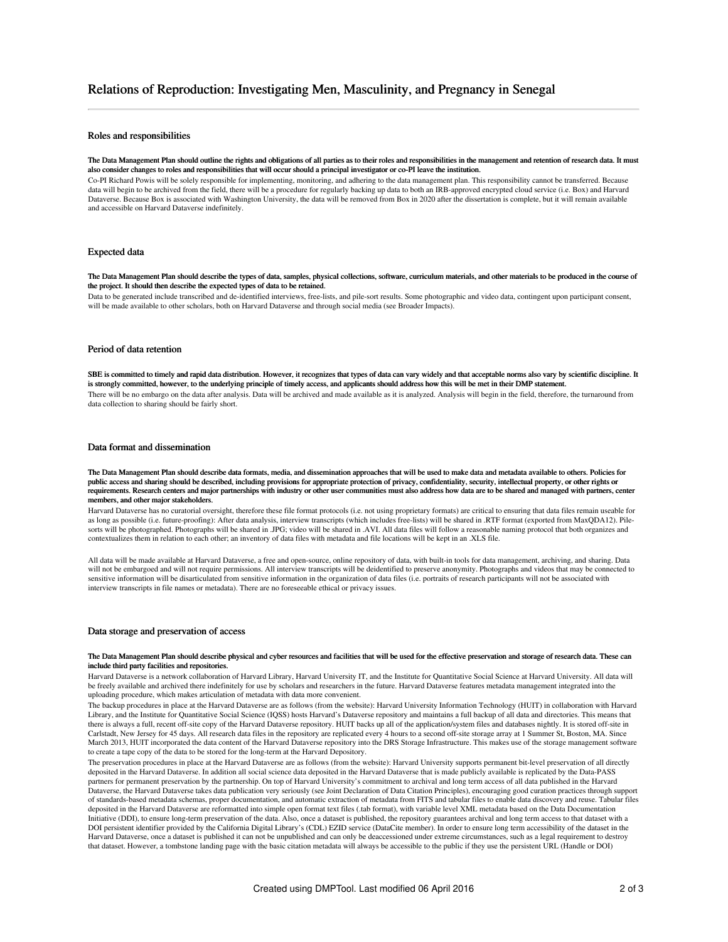### Roles and responsibilities

#### The Data Management Plan should outline the rights and obligations of all parties as to their roles and responsibilities in the management and retention of research data. It must also consider changes to roles and responsibilities that will occur should a principal investigator or co-PI leave the institution.

Co-PI Richard Powis will be solely responsible for implementing, monitoring, and adhering to the data management plan. This responsibility cannot be transferred. Because data will begin to be archived from the field, there will be a procedure for regularly backing up data to both an IRB-approved encrypted cloud service (i.e. Box) and Harvard Dataverse. Because Box is associated with Washington University, the data will be removed from Box in 2020 after the dissertation is complete, but it will remain available and accessible on Harvard Dataverse indefinitely.

#### Expected data

The Data Management Plan should describe the types of data, samples, physical collections, software, curriculum materials, and other materials to be produced in the course of the project. It should then describe the expected types of data to be retained.

Data to be generated include transcribed and de-identified interviews, free-lists, and pile-sort results. Some photographic and video data, contingent upon participant consent, will be made available to other scholars, both on Harvard Dataverse and through social media (see Broader Impacts).

#### Period of data retention

SBE is committed to timely and rapid data distribution. However, it recognizes that types of data can vary widely and that acceptable norms also vary by scientific discipline. It is strongly committed, however, to the underlying principle of timely access, and applicants should address how this will be met in their DMP statement. There will be no embargo on the data after analysis. Data will be archived and made available as it is analyzed. Analysis will begin in the field, therefore, the turnaround from data collection to sharing should be fairly short.

### Data format and dissemination

The Data Management Plan should describe data formats, media, and dissemination approaches that will be used to make data and metadata available to others. Policies for public access and sharing should be described, including provisions for appropriate protection of privacy, confidentiality, security, intellectual property, or other rights or requirements. Research centers and major partnerships with industry or other user communities must also address how data are to be shared and managed with partners, center members, and other major stakeholders.

Harvard Dataverse has no curatorial oversight, therefore these file format protocols (i.e. not using proprietary formats) are critical to ensuring that data files remain useable for as long as possible (i.e. future-proofing): After data analysis, interview transcripts (which includes free-lists) will be shared in .RTF format (exported from MaxQDA12). Pilesorts will be photographed. Photographs will be shared in .JPG; video will be shared in .AVI. All data files will follow a reasonable naming protocol that both organizes and contextualizes them in relation to each other; an inventory of data files with metadata and file locations will be kept in an .XLS file.

All data will be made available at Harvard Dataverse, a free and open-source, online repository of data, with built-in tools for data management, archiving, and sharing. Data<br>will not be embargoed and will not require perm sensitive information will be disarticulated from sensitive information in the organization of data files (i.e. portraits of research participants will not be associated with interview transcripts in file names or metadata). There are no foreseeable ethical or privacy issues.

### Data storage and preservation of access

#### The Data Management Plan should describe physical and cyber resources and facilities that will be used for the effective preservation and storage of research data. These can include third party facilities and repositories.

Harvard Dataverse is a network collaboration of Harvard Library, Harvard University IT, and the Institute for Quantitative Social Science at Harvard University. All data will be freely available and archived there indefinitely for use by scholars and researchers in the future. Harvard Dataverse features metadata management integrated into the uploading procedure, which makes articulation of metadata with data more convenient.

The backup procedures in place at the Harvard Dataverse are as follows (from the website): Harvard University Information Technology (HUIT) in collaboration with Harvard Library, and the Institute for Quantitative Social Science (IQSS) hosts Harvard's Dataverse repository and maintains a full backup of all data and directories. This means that there is always a full, recent off-site copy of the Harvard Dataverse repository. HUIT backs up all of the application/system files and databases nightly. It is stored off-site in Carlstadt, New Jersey for 45 days. All research data files in the repository are replicated every 4 hours to a second off-site storage array at 1 Summer St, Boston, MA. Since March 2013, HUIT incorporated the data content of the Harvard Dataverse repository into the DRS Storage Infrastructure. This makes use of the storage management software to create a tape copy of the data to be stored for the long-term at the Harvard Depository.

The preservation procedures in place at the Harvard Dataverse are as follows (from the website): Harvard University supports permanent bit-level preservation of all directly deposited in the Harvard Dataverse. In addition all social science data deposited in the Harvard Dataverse that is made publicly available is replicated by the Data-PASS partners for permanent preservation by the partnership. On top of Harvard University's commitment to archival and long term access of all data published in the Harvard Dataverse, the Harvard Dataverse takes data publication very seriously (see Joint Declaration of Data Citation Principles), encouraging good curation practices through support of standards-based metadata schemas, proper documentation, and automatic extraction of metadata from FITS and tabular files to enable data discovery and reuse. Tabular files deposited in the Harvard Dataverse are reformatted into simple open format text files (.tab format), with variable level XML metadata based on the Data Documentation Initiative (DDI), to ensure long-term preservation of the data. Also, once a dataset is published, the repository guarantees archival and long term access to that dataset with a DOI persistent identifier provided by the California Digital Library's (CDL) EZID service (DataCite member). In order to ensure long term accessibility of the dataset in the Harvard Dataverse, once a dataset is published it can not be unpublished and can only be deaccessioned under extreme circumstances, such as a legal requirement to destroy that dataset. However, a tombstone landing page with the basic citation metadata will always be accessible to the public if they use the persistent URL (Handle or DOI)